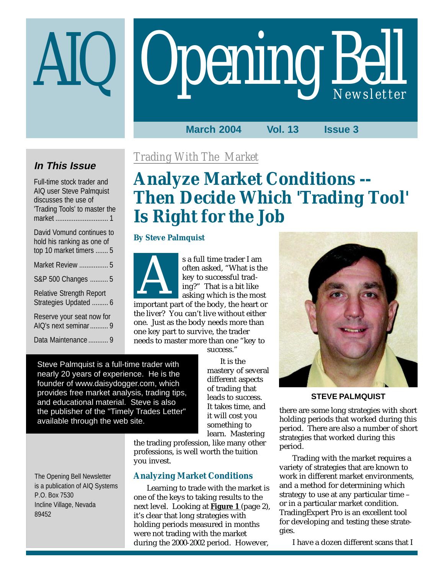# Opening Bell AIQ *Newsletter*

## **March 2004 Vol. 13 Issue 3**

## **In This Issue**

Full-time stock trader and AIQ user Steve Palmquist discusses the use of 'Trading Tools' to master the market ............................. 1

| David Vomund continues to<br>hold his ranking as one of<br>top 10 market timers  5 |
|------------------------------------------------------------------------------------|
| Market Review  5                                                                   |
| S&P 500 Changes  5                                                                 |
| <b>Relative Strength Report</b><br>Strategies Updated  6                           |
| Reserve your seat now for<br>AIQ's next seminar 9                                  |

Data Maintenance ........... 9

## *Trading With The Market*

# **Analyze Market Conditions -- Then Decide Which 'Trading Tool' Is Right for the Job**

## **By Steve Palmquist**



s a full time trader I am often asked, "What is the key to successful trading?" That is a bit like asking which is the most s a run time trader 1 am<br>
often asked, "What is the<br>
key to successful trad-<br>
ing?" That is a bit like<br>
asking which is the most<br>
important part of the body, the heart or

the liver? You can't live without either one. Just as the body needs more than one key part to survive, the trader needs to master more than one "key to

success."

Steve Palmquist is a full-time trader with nearly 20 years of experience. He is the founder of www.daisydogger.com, which provides free market analysis, trading tips, and educational material. Steve is also the publisher of the "Timely Trades Letter" available through the web site.

It is the mastery of several different aspects of trading that leads to success. It takes time, and it will cost you something to learn. Mastering

the trading profession, like many other professions, is well worth the tuition you invest.

## **Analyzing Market Conditions**

Learning to trade with the market is one of the keys to taking results to the next level. Looking at **Figure 1** (page 2), it's clear that long strategies with holding periods measured in months were not trading with the market during the 2000-2002 period. However,



**STEVE PALMQUIST**

there are some long strategies with short holding periods that worked during this period. There are also a number of short strategies that worked during this period.

Trading with the market requires a variety of strategies that are known to work in different market environments, and a method for determining which strategy to use at any particular time – or in a particular market condition. TradingExpert Pro is an excellent tool for developing and testing these strategies.

I have a dozen different scans that I

The Opening Bell Newsletter is a publication of AIQ Systems P.O. Box 7530 Incline Village, Nevada 89452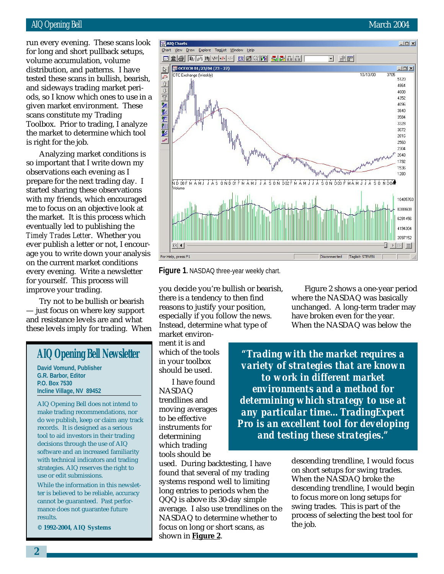## AIQ Opening Bell March 2004

distribution, and patterns. I have run every evening. These scans look for long and short pullback setups, volume accumulation, volume tested these scans in bullish, bearish, and sideways trading market periods, so I know which ones to use in a given market environment. These scans constitute my Trading Toolbox. Prior to trading, I analyze the market to determine which tool is right for the job.

Analyzing market conditions is so important that I write down my observations each evening as I prepare for the next trading day. I started sharing these observations with my friends, which encouraged me to focus on an objective look at the market. It is this process which eventually led to publishing the *Timely Trades Letter*. Whether you ever publish a letter or not, I encourage you to write down your analysis on the current market conditions every evening. Write a newsletter for yourself. This process will improve your trading.

Try not to be bullish or bearish — just focus on where key support and resistance levels are and what these levels imply for trading. When

## **AIQ Opening Bell Newsletter**

**David Vomund, Publisher G.R. Barbor, Editor P.O. Box 7530 Incline Village, NV 89452**

AIQ Opening Bell does not intend to make trading recommendations, nor do we publish, keep or claim any track records. It is designed as a serious tool to aid investors in their trading decisions through the use of AIQ software and an increased familiarity with technical indicators and trading strategies. AIQ reserves the right to use or edit submissions.

While the information in this newsletter is believed to be reliable, accuracy cannot be guaranteed. Past performance does not guarantee future results.

**© 1992-2004, AIQ Systems**

**Figure 1.** NASDAQ three-year weekly chart.

you decide you're bullish or bearish, there is a tendency to then find reasons to justify your position, especially if you follow the news. Instead, determine what type of

market environment it is and which of the tools in your toolbox should be used.

For Help, press F1

AIQ Charts

 $\mathbb{R}$ 

區

 $\hat{u}$ 

Chart View Draw Explore TagList Window Help

**DE OCEXCH 01/23/04 (73 - 27)** 

OTC Exchange (Weekly)

de de de de porto de de la regione de de la f

I have found NASDAQ trendlines and moving averages to be effective instruments for determining which trading tools should be

used. During backtesting, I have found that several of my trading systems respond well to limiting long entries to periods when the QQQ is above its 30-day simple average. I also use trendlines on the NASDAQ to determine whether to focus on long or short scans, as shown in **Figure 2**.

Figure 2 shows a one-year period where the NASDAQ was basically unchanged. A long-term trader may have broken even for the year. When the NASDAQ was below the

Taglist: STEVEN

Disconnected

*"Trading with the market requires a variety of strategies that are known to work in different market environments and a method for determining which strategy to use at any particular time…TradingExpert Pro is an excellent tool for developing and testing these strategies."*

> descending trendline, I would focus on short setups for swing trades. When the NASDAQ broke the descending trendline, I would begin to focus more on long setups for swing trades. This is part of the process of selecting the best tool for the job.



3705

 $\Box$   $\Box$ 

 $10/13/00$ 

 $-10 \times$ 

 $-10X$ 

5120

4864

4608 4352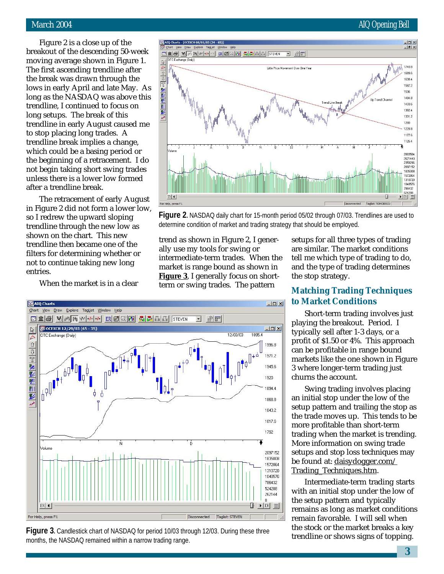## March 2004 **AIQ Opening Bell**

Figure 2 is a close up of the breakout of the descending 50-week moving average shown in Figure 1. The first ascending trendline after the break was drawn through the lows in early April and late May. As long as the NASDAQ was above this trendline, I continued to focus on long setups. The break of this trendline in early August caused me to stop placing long trades. A trendline break implies a change, which could be a basing period or the beginning of a retracement. I do not begin taking short swing trades unless there is a lower low formed after a trendline break.

The retracement of early August in Figure 2 did not form a lower low, so I redrew the upward sloping trendline through the new low as shown on the chart. This new trendline then became one of the filters for determining whether or not to continue taking new long entries.

When the market is in a clear



**Figure 2.** NASDAQ daily chart for 15-month period 05/02 through 07/03. Trendlines are used to determine condition of market and trading strategy that should be employed.

 $-10x$ 

 $\Box$  $\times$ 

1996.8

1971.2 1945.6 1920 1894.4 1868.8 1843.2 1817.6 1792

2097152 1835008

1895

trend as shown in Figure 2, I generally use my tools for swing or intermediate-term trades. When the market is range bound as shown in **Figure 3**, I generally focus on shortterm or swing trades. The pattern

12/03/03

그 위퇴

Ď

setups for all three types of trading are similar. The market conditions tell me which type of trading to do, and the type of trading determines the stop strategy.

## **Matching Trading Techniques to Market Conditions**

Short-term trading involves just playing the breakout. Period. I typically sell after 1-3 days, or a profit of \$1.50 or 4%. This approach can be profitable in range bound markets like the one shown in Figure 3 where longer-term trading just churns the account.

Swing trading involves placing an initial stop under the low of the setup pattern and trailing the stop as the trade moves up. This tends to be more profitable than short-term trading when the market is trending. More information on swing trade setups and stop loss techniques may be found at: daisydogger.com/ Trading\_Techniques.htm.

Intermediate-term trading starts with an initial stop under the low of the setup pattern and typically remains as long as market conditions remain favorable. I will sell when the stock or the market breaks a key trendline or shows signs of topping.

1572864 1310720 1048576 786432 524288 262144  $\mathbf 0$  $ER$   $\vert$   $\vert$  $\mathbb{F}$   $\triangleright$  ER  $\mathbb{E}$ For Help, press F1 Disconnected Taglist: STEVEN **Figure 3.** Candlestick chart of NASDAQ for period 10/03 through 12/03. During these three months, the NASDAQ remained within a narrow trading range.



**데호용 W <sub>[해</sub> W + + + + ER 2 2 M | 조 조 표 |** 또 | STEVEN

Ń

Chart View Draw Explore TagList Window Help

OTC Exchange (Daily)

AIQ Charts

 $\mathbb{R}$ 

 $\overline{t^{y_1}}$  $\hat{\mathbb{U}}$ 

10 回 堅 堅 医 刑 堅

Volume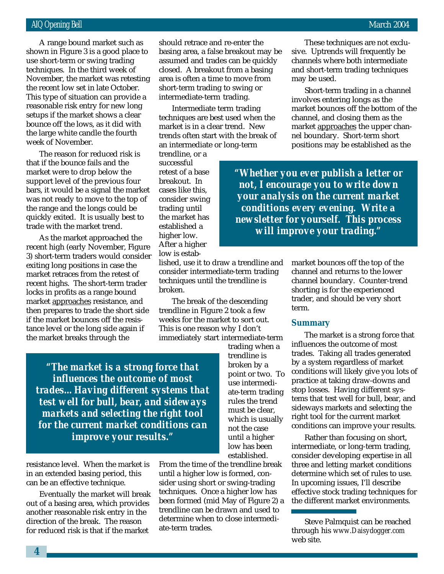techniques. In the third week of A range bound market such as shown in Figure 3 is a good place to use short-term or swing trading November, the market was retesting the recent low set in late October. This type of situation can provide a reasonable risk entry for new long setups if the market shows a clear bounce off the lows, as it did with the large white candle the fourth week of November.

The reason for reduced risk is that if the bounce fails and the market were to drop below the support level of the previous four bars, it would be a signal the market was not ready to move to the top of the range and the longs could be quickly exited. It is usually best to trade with the market trend.

As the market approached the recent high (early November, Figure 3) short-term traders would consider exiting long positions in case the market retraces from the retest of recent highs. The short-term trader locks in profits as a range bound market approaches resistance, and then prepares to trade the short side if the market bounces off the resistance level or the long side again if the market breaks through the

should retrace and re-enter the basing area, a false breakout may be assumed and trades can be quickly closed. A breakout from a basing area is often a time to move from short-term trading to swing or intermediate-term trading.

Intermediate term trading techniques are best used when the market is in a clear trend. New trends often start with the break of an intermediate or long-term

trendline, or a successful retest of a base breakout. In cases like this, consider swing trading until the market has established a higher low. After a higher low is estab-

lished, use it to draw a trendline and consider intermediate-term trading techniques until the trendline is broken.

The break of the descending trendline in Figure 2 took a few weeks for the market to sort out. This is one reason why I don't immediately start intermediate-term

*"The market is a strong force that influences the outcome of most trades…Having different systems that test well for bull, bear, and sideways markets and selecting the right tool for the current market conditions can improve your results."*

resistance level. When the market is in an extended basing period, this can be an effective technique.

Eventually the market will break out of a basing area, which provides another reasonable risk entry in the direction of the break. The reason for reduced risk is that if the market

trading when a trendline is broken by a point or two. To use intermediate-term trading rules the trend must be clear, which is usually not the case until a higher low has been established.

From the time of the trendline break until a higher low is formed, consider using short or swing-trading techniques. Once a higher low has been formed (mid May of Figure 2) a trendline can be drawn and used to determine when to close intermediate-term trades.

These techniques are not exclusive. Uptrends will frequently be channels where both intermediate and short-term trading techniques may be used.

Short-term trading in a channel involves entering longs as the market bounces off the bottom of the channel, and closing them as the market approaches the upper channel boundary. Short-term short positions may be established as the

*"Whether you ever publish a letter or not, I encourage you to write down your analysis on the current market conditions every evening. Write a newsletter for yourself. This process will improve your trading."*

> market bounces off the top of the channel and returns to the lower channel boundary. Counter-trend shorting is for the experienced trader, and should be very short term.

#### **Summary**

The market is a strong force that influences the outcome of most trades. Taking all trades generated by a system regardless of market conditions will likely give you lots of practice at taking draw-downs and stop losses. Having different systems that test well for bull, bear, and sideways markets and selecting the right tool for the current market conditions can improve your results.

Rather than focusing on short, intermediate, or long-term trading, consider developing expertise in all three and letting market conditions determine which set of rules to use. In upcoming issues, I'll describe effective stock trading techniques for the different market environments.

Steve Palmquist can be reached through his *www.Daisydogger.com* web site.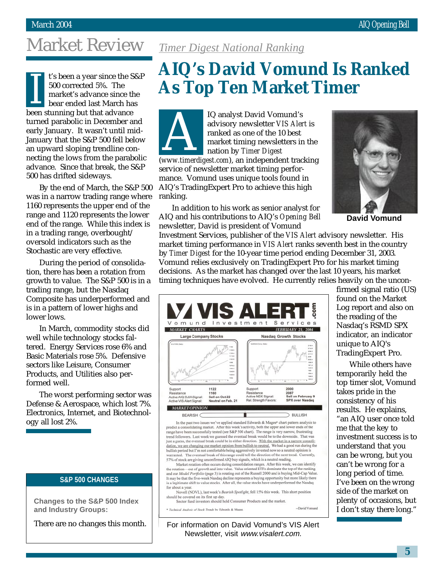# Market Review

t's been a year since the S&P 500 corrected 5%. The market's advance since the bear ended last March has For the stunning but that advance<br>
been stunning but that advance turned parabolic in December and early January. It wasn't until mid-January that the S&P 500 fell below an upward sloping trendline connecting the lows from the parabolic advance. Since that break, the S&P 500 has drifted sideways.

By the end of March, the S&P 500 was in a narrow trading range where 1160 represents the upper end of the range and 1120 represents the lower end of the range. While this index is in a trading range, overbought/ oversold indicators such as the Stochastic are very effective.

During the period of consolidation, there has been a rotation from growth to value. The S&P 500 is in a trading range, but the Nasdaq Composite has underperformed and is in a pattern of lower highs and lower lows.

In March, commodity stocks did well while technology stocks faltered. Energy Services rose 6% and Basic Materials rose 5%. Defensive sectors like Leisure, Consumer Products, and Utilities also performed well.

The worst performing sector was Defense & Aerospace, which lost 7%. Electronics, Internet, and Biotechnology all lost 2%.

## **S&P 500 CHANGES**

**Changes to the S&P 500 Index and Industry Groups:**

There are no changes this month.

## *Timer Digest National Ranking*

# **AIQ's David Vomund Is Ranked As Top Ten Market Timer**

IQ analyst David Vomund's advisory newsletter *VIS Alert* is ranked as one of the 10 best market timing newsletters in the nation by *Timer Digest* advisory newsletter *VIS Alert* is<br>
ranked as one of the 10 best<br>
market timing newsletters in the<br>
nation by *Timer Digest*<br>
(www.timerdigest.com), an independent tracking service of newsletter market timing performance. Vomund uses unique tools found in AIQ's TradingExpert Pro to achieve this high ranking.

In addition to his work as senior analyst for AIQ and his contributions to AIQ's *Opening Bell* newsletter, David is president of Vomund

Vomund Investment Services

Support

In the past two issues we've applied standard Edwards & Magee\* chart pattern analysis to predict a consolidating market. After this week's activity, both the upper and lower ends of the praise have been successfully tested (see S&P 500 chart). The range is very narrow, frustrating<br>trand followers. Last week we guessed the eventual break would be to the downside. That was<br>just a guess, the eventual break c dation, we are changing our market opinion from bullish to neutral. We had a good run during the bullish period but I'm not comfortable being aggressively invested now so a neutral opinion is warranted. The eventual break of this range could tell the direction of the next trend. Currently, 57% of stock are giving unconfirmed AIQ buy signals, which is a neutral reading. Market rotation often occurs during consolidation ranges. After this week, we can identify the rotation—out of growth and into value. Value oriented ETFs dominate the top of the ranking and our *Model Portfolio* (page 3) i It may be that the five-week Nasdaq decline represents a buying opportunity but more likely there is a legitimate shift to value stocks. After all, the value stocks have underperformed the Nasdaq

Resistance<br>Active NDX Signal:<br>Rel. Strength Favors

MARKET CHARTS

Support

Resistance

for about a year.

Active AIQ DJIA Signal:<br>Active VIS Alert Signal:

**MARKET OPINION BEARISH** 

**Large Company Stocks** 

1122

1160

Sell on Oct.22 Neutral on Feb. 21



**David Vomund**

Investment Services, publisher of the *VIS Alert* advisory newsletter. His market timing performance in *VIS Alert* ranks seventh best in the country by *Timer Digest* for the 10-year time period ending December 31, 2003. Vomund relies exclusively on TradingExpert Pro for his market timing decisions. As the market has changed over the last 10 years, his market timing techniques have evolved. He currently relies heavily on the uncon-

**FEBRUARY 21, 2004** 

**Nasdag Growth Stocks** 

2000

2007<br>Sell on February 9<br>SPX over Nasdaq

-David Vomund

 $\supset$  BULLISH

firmed signal ratio (US) found on the Market Log report and also on the reading of the Nasdaq's RSMD SPX indicator, an indicator unique to AIQ's TradingExpert Pro.

While others have temporarily held the top timer slot, Vomund takes pride in the consistency of his results. He explains, "an AIQ user once told me that the key to investment success is to understand that you can be wrong, but you can't be wrong for a long period of time. I've been on the wrong side of the market on plenty of occasions, but I don't stay there long."

For information on David Vomund's VIS Alert Newsletter, visit www.visalert.com.

Novell (NOVL), last week's Bearish Spotlight, fell 15% this week. This short position

should be covered on its first up day.<br>Sector fund investors should hold Consumer Products and the market.

\* Technical Analysis of Stock Trends by Edwards & Mag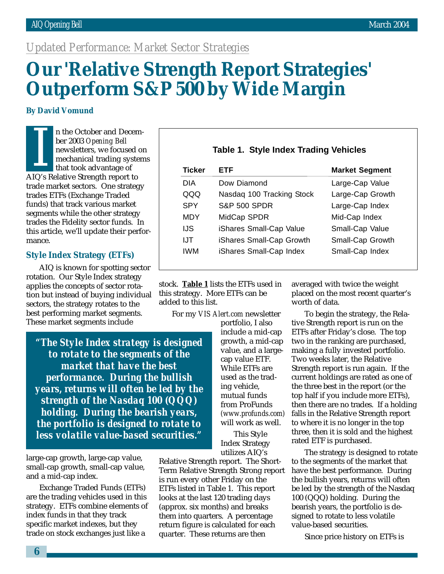## *Updated Performance: Market Sector Strategies*

# **Our 'Relative Strength Report Strategies' Outperform S&P 500 by Wide Margin**

#### **By David Vomund**

n the October and December 2003 *Opening Bell* newsletters, we focused on mechanical trading systems that took advantage of Fi the October and December 2003<br>
her 2003 Opening Bell<br>
mewsletters, we focused<br>
mechanical trading system<br>
that took advantage of<br>
AIQ's Relative Strength report to trade market sectors. One strategy trades ETFs (Exchange Traded funds) that track various market segments while the other strategy trades the Fidelity sector funds. In this article, we'll update their performance.

#### **Style Index Strategy (ETFs)**

AIQ is known for spotting sector rotation. Our Style Index strategy applies the concepts of sector rotation but instead of buying individual sectors, the strategy rotates to the best performing market segments. These market segments include

*"The Style Index strategy is designed to rotate to the segments of the market that have the best performance. During the bullish years, returns will often be led by the strength of the Nasdaq 100 (QQQ) holding. During the bearish years, the portfolio is designed to rotate to less volatile value-based securities."*

large-cap growth, large-cap value, small-cap growth, small-cap value, and a mid-cap index.

Exchange Traded Funds (ETFs) are the trading vehicles used in this strategy. ETFs combine elements of index funds in that they track specific market indexes, but they trade on stock exchanges just like a

include a mid-cap growth, a mid-cap value, and a largecap value ETF. While ETFs are used as the trading vehicle, mutual funds from ProFunds *(www.profunds.com)* will work as well. This Style Index Strategy

utilizes AIQ's Relative Strength report. The Short-Term Relative Strength Strong report is run every other Friday on the ETFs listed in Table 1. This report looks at the last 120 trading days (approx. six months) and breaks them into quarters. A percentage return figure is calculated for each quarter. These returns are then

|  |  | Table 1. Style Index Trading Vehicles |
|--|--|---------------------------------------|
|  |  |                                       |

| Ticker     | FTF                       | <b>Market Segment</b> |
|------------|---------------------------|-----------------------|
| DIA        | Dow Diamond               | Large-Cap Value       |
| QQQ        | Nasdaq 100 Tracking Stock | Large-Cap Growth      |
| SPY        | <b>S&amp;P 500 SPDR</b>   | Large-Cap Index       |
| <b>MDY</b> | MidCap SPDR               | Mid-Cap Index         |
| IJS        | iShares Small-Cap Value   | Small-Cap Value       |
| IJT        | iShares Small-Cap Growth  | Small-Cap Growth      |
| IWM        | iShares Small-Cap Index   | Small-Cap Index       |
|            |                           |                       |

stock. **Table 1** lists the ETFs used in this strategy. More ETFs can be added to this list.

For my *VIS Alert.com* newsletter

portfolio, I also To begin the strategy, the Relative Strength report is run on the ETFs after Friday's close. The top two in the ranking are purchased, making a fully invested portfolio. Two weeks later, the Relative Strength report is run again. If the current holdings are rated as one of the three best in the report (or the top half if you include more ETFs), then there are no trades. If a holding falls in the Relative Strength report to where it is no longer in the top three, then it is sold and the highest rated ETF is purchased.

worth of data.

The strategy is designed to rotate to the segments of the market that have the best performance. During the bullish years, returns will often be led by the strength of the Nasdaq 100 (QQQ) holding. During the bearish years, the portfolio is designed to rotate to less volatile value-based securities.

averaged with twice the weight placed on the most recent quarter's

Since price history on ETFs is

**6**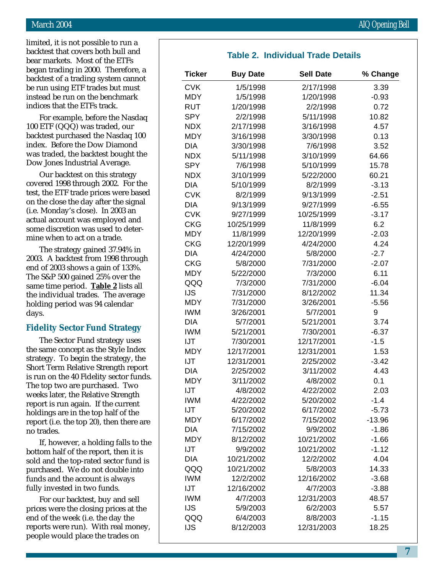limited, it is not possible to run a backtest that covers both bull and bear markets. Most of the ETFs began trading in 2000. Therefore, a backtest of a trading system cannot be run using ETF trades but must instead be run on the benchmark indices that the ETFs track.

For example, before the Nasdaq 100 ETF (QQQ) was traded, our backtest purchased the Nasdaq 100 index. Before the Dow Diamond was traded, the backtest bought the Dow Jones Industrial Average.

Our backtest on this strategy covered 1998 through 2002. For the test, the ETF trade prices were based on the close the day after the signal (i.e. Monday's close). In 2003 an actual account was employed and some discretion was used to determine when to act on a trade.

The strategy gained 37.94% in 2003. A backtest from 1998 through end of 2003 shows a gain of 133%. The S&P 500 gained 25% over the same time period. **Table 2** lists all the individual trades. The average holding period was 94 calendar days.

## **Fidelity Sector Fund Strategy**

The Sector Fund strategy uses the same concept as the Style Index strategy. To begin the strategy, the Short Term Relative Strength report is run on the 40 Fidelity sector funds. The top two are purchased. Two weeks later, the Relative Strength report is run again. If the current holdings are in the top half of the report (i.e. the top 20), then there are no trades.

If, however, a holding falls to the bottom half of the report, then it is sold and the top-rated sector fund is purchased. We do not double into funds and the account is always fully invested in two funds.

For our backtest, buy and sell prices were the closing prices at the end of the week (i.e. the day the reports were run). With real money, people would place the trades on

## **Table 2. Individual Trade Details**

| <b>Ticker</b> | <b>Buy Date</b> | <b>Sell Date</b> | % Change |
|---------------|-----------------|------------------|----------|
| <b>CVK</b>    | 1/5/1998        | 2/17/1998        | 3.39     |
| <b>MDY</b>    | 1/5/1998        | 1/20/1998        | $-0.93$  |
| <b>RUT</b>    | 1/20/1998       | 2/2/1998         | 0.72     |
| <b>SPY</b>    | 2/2/1998        | 5/11/1998        | 10.82    |
| <b>NDX</b>    | 2/17/1998       | 3/16/1998        | 4.57     |
| <b>MDY</b>    | 3/16/1998       | 3/30/1998        | 0.13     |
| <b>DIA</b>    | 3/30/1998       | 7/6/1998         | 3.52     |
| <b>NDX</b>    | 5/11/1998       | 3/10/1999        | 64.66    |
| <b>SPY</b>    | 7/6/1998        | 5/10/1999        | 15.78    |
| <b>NDX</b>    | 3/10/1999       | 5/22/2000        | 60.21    |
| <b>DIA</b>    | 5/10/1999       | 8/2/1999         | $-3.13$  |
| <b>CVK</b>    | 8/2/1999        | 9/13/1999        | $-2.51$  |
| <b>DIA</b>    | 9/13/1999       | 9/27/1999        | $-6.55$  |
| <b>CVK</b>    | 9/27/1999       | 10/25/1999       | $-3.17$  |
| <b>CKG</b>    | 10/25/1999      | 11/8/1999        | 6.2      |
| <b>MDY</b>    | 11/8/1999       | 12/20/1999       | $-2.03$  |
| <b>CKG</b>    | 12/20/1999      | 4/24/2000        | 4.24     |
| <b>DIA</b>    | 4/24/2000       | 5/8/2000         | $-2.7$   |
| <b>CKG</b>    | 5/8/2000        | 7/31/2000        | $-2.07$  |
| <b>MDY</b>    | 5/22/2000       | 7/3/2000         | 6.11     |
| QQQ           | 7/3/2000        | 7/31/2000        | $-6.04$  |
| <b>IJS</b>    | 7/31/2000       | 8/12/2002        | 11.34    |
| <b>MDY</b>    | 7/31/2000       | 3/26/2001        | $-5.56$  |
| <b>IWM</b>    | 3/26/2001       | 5/7/2001         | 9        |
| <b>DIA</b>    | 5/7/2001        | 5/21/2001        | 3.74     |
| <b>IWM</b>    | 5/21/2001       | 7/30/2001        | $-6.37$  |
| IJT           | 7/30/2001       | 12/17/2001       | $-1.5$   |
| <b>MDY</b>    | 12/17/2001      | 12/31/2001       | 1.53     |
| IJT           | 12/31/2001      | 2/25/2002        | $-3.42$  |
| <b>DIA</b>    | 2/25/2002       | 3/11/2002        | 4.43     |
| <b>MDY</b>    | 3/11/2002       | 4/8/2002         | 0.1      |
| IJT           | 4/8/2002        | 4/22/2002        | 2.03     |
| <b>IWM</b>    | 4/22/2002       | 5/20/2002        | $-1.4$   |
| IJT           | 5/20/2002       | 6/17/2002        | $-5.73$  |
| <b>MDY</b>    | 6/17/2002       | 7/15/2002        | $-13.96$ |
| <b>DIA</b>    | 7/15/2002       | 9/9/2002         | $-1.86$  |
| <b>MDY</b>    | 8/12/2002       | 10/21/2002       | $-1.66$  |
| IJT           | 9/9/2002        | 10/21/2002       | $-1.12$  |
| <b>DIA</b>    | 10/21/2002      | 12/2/2002        | 4.04     |
| QQQ           | 10/21/2002      | 5/8/2003         | 14.33    |
| <b>IWM</b>    | 12/2/2002       | 12/16/2002       | $-3.68$  |
| IJT           | 12/16/2002      | 4/7/2003         | $-3.88$  |
| <b>IWM</b>    | 4/7/2003        | 12/31/2003       | 48.57    |
| <b>IJS</b>    | 5/9/2003        | 6/2/2003         | 5.57     |
| QQQ           | 6/4/2003        | 8/8/2003         | $-1.15$  |
| <b>IJS</b>    | 8/12/2003       | 12/31/2003       | 18.25    |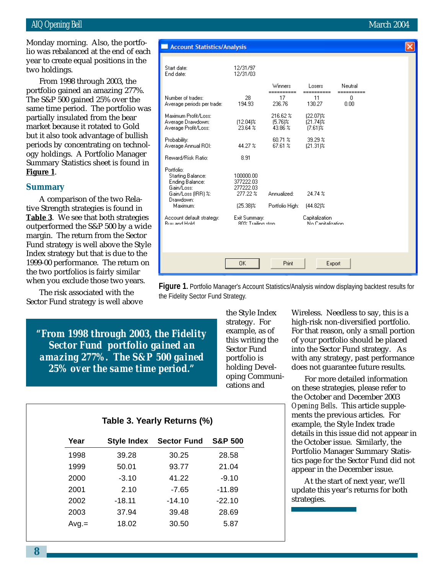#### AIQ Opening Bell March 2004

two holdings. Monday morning. Also, the portfolio was rebalanced at the end of each year to create equal positions in the

From 1998 through 2003, the portfolio gained an amazing 277%. The S&P 500 gained 25% over the same time period. The portfolio was partially insulated from the bear market because it rotated to Gold but it also took advantage of bullish periods by concentrating on technology holdings. A Portfolio Manager Summary Statistics sheet is found in **Figure 1**.

### **Summary**

A comparison of the two Relative Strength strategies is found in **Table 3**. We see that both strategies outperformed the S&P 500 by a wide margin. The return from the Sector Fund strategy is well above the Style Index strategy but that is due to the 1999-00 performance. The return on the two portfolios is fairly similar when you exclude those two years.

The risk associated with the Sector Fund strategy is well above Account Statistics/Analysis Start date: 12/31/97 End date: 12/31/03 Winners Losers Neutral ======= Number of trades: 28  $17$  $11$ 0 236.76 0.00 194.93 130.27 216.62% Maximum Profit/Loss: (22.07)%  $(12.04)$ % Average Drawdown:  $(5.76)\%$ (21.74)% Average Profit/Loss: 23.64 % 43.86 %  $(7.61)$ % 39.29 % Probability: 60.71 % Average Annual ROI: 44.27 % 67.61 %  $[21.31]$ % Reward/Risk Ratio: 8.91 Portfolio: **Starting Balance:** 100000.00 Ending Balance: 377222.03 277222.03 Gain/Loss: Gain/Loss (IRR) %: 277.22 % Annualized: 24.74 % Drawdown: Maximum:  $(25.38)\%$ Portfolio High:  $[44.82]\%$ Account default strategy: Exit Summary: Capitalization **Ruu and Hold** 90% Trailing stop .<br>No Canitalization 0K Print Export

**Figure 1.** Portfolio Manager's Account Statistics/Analysis window displaying backtest results for the Fidelity Sector Fund Strategy.

*"From 1998 through 2003, the Fidelity Sector Fund portfolio gained an amazing 277%. The S&P 500 gained 25% over the same time period."*

the Style Index strategy. For example, as of this writing the Sector Fund portfolio is holding Developing Communications and

Wireless. Needless to say, this is a high-risk non-diversified portfolio. For that reason, only a small portion of your portfolio should be placed into the Sector Fund strategy. As with any strategy, past performance does not guarantee future results.

For more detailed information on these strategies, please refer to the October and December 2003 *Opening Bells*. This article supplements the previous articles. For example, the Style Index trade details in this issue did not appear in the October issue. Similarly, the Portfolio Manager Summary Statistics page for the Sector Fund did not appear in the December issue.

At the start of next year, we'll update this year's returns for both strategies.

| Table 3. Yearly Returns (%) |  |  |  |  |  |
|-----------------------------|--|--|--|--|--|
|-----------------------------|--|--|--|--|--|

| Year    | <b>Style Index</b> | <b>Sector Fund</b> | <b>S&amp;P 500</b> |
|---------|--------------------|--------------------|--------------------|
| 1998    | 39.28              | 30.25              | 28.58              |
| 1999    | 50.01              | 93.77              | 21.04              |
| 2000    | $-3.10$            | 41.22              | $-9.10$            |
| 2001    | 2.10               | -7.65              | $-11.89$           |
| 2002    | $-18.11$           | $-14.10$           | $-22.10$           |
| 2003    | 37.94              | 39.48              | 28.69              |
| $Avg =$ | 18.02              | 30.50              | 5.87               |